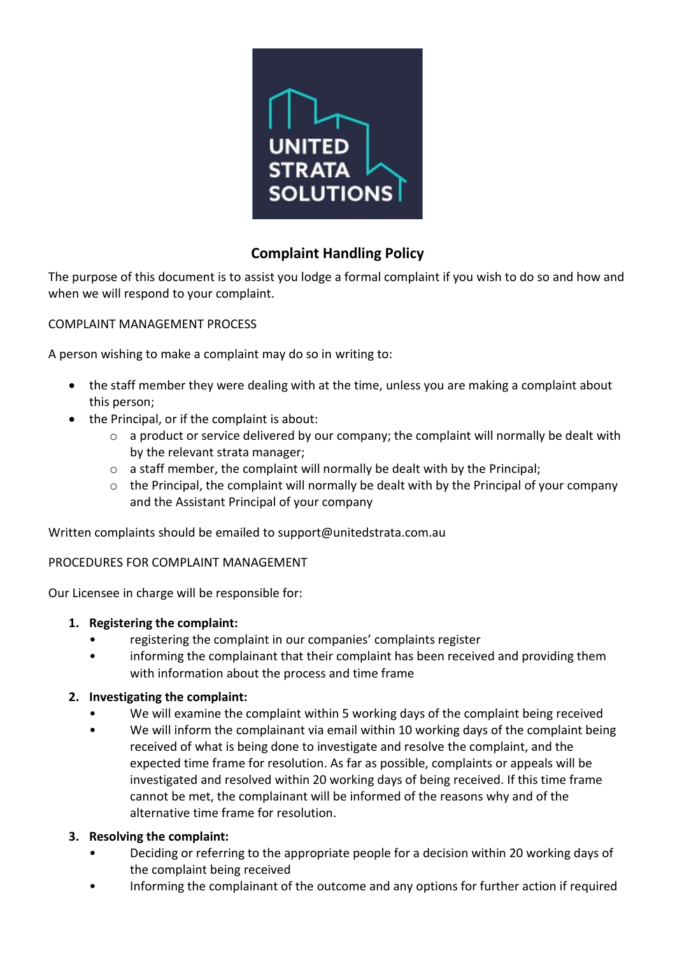

# **Complaint Handling Policy**

The purpose of this document is to assist you lodge a formal complaint if you wish to do so and how and when we will respond to your complaint.

### COMPLAINT MANAGEMENT PROCESS

A person wishing to make a complaint may do so in writing to:

- the staff member they were dealing with at the time, unless you are making a complaint about this person;
- the Principal, or if the complaint is about:
	- o a product or service delivered by our company; the complaint will normally be dealt with by the relevant strata manager;
	- o a staff member, the complaint will normally be dealt with by the Principal;
	- o the Principal, the complaint will normally be dealt with by the Principal of your company and the Assistant Principal of your company

Written complaints should be emailed to support@unitedstrata.com.au

#### PROCEDURES FOR COMPLAINT MANAGEMENT

Our Licensee in charge will be responsible for:

#### **1. Registering the complaint:**

- registering the complaint in our companies' complaints register
- informing the complainant that their complaint has been received and providing them with information about the process and time frame

#### **2. Investigating the complaint:**

- We will examine the complaint within 5 working days of the complaint being received
- We will inform the complainant via email within 10 working days of the complaint being received of what is being done to investigate and resolve the complaint, and the expected time frame for resolution. As far as possible, complaints or appeals will be investigated and resolved within 20 working days of being received. If this time frame cannot be met, the complainant will be informed of the reasons why and of the alternative time frame for resolution.

#### **3. Resolving the complaint:**

- Deciding or referring to the appropriate people for a decision within 20 working days of the complaint being received
- Informing the complainant of the outcome and any options for further action if required